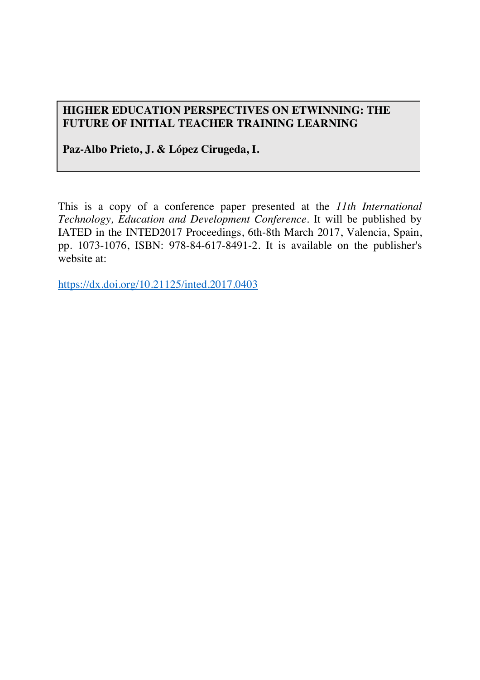# **HIGHER EDUCATION PERSPECTIVES ON ETWINNING: THE FUTURE OF INITIAL TEACHER TRAINING LEARNING**

**Paz-Albo Prieto, J. & López Cirugeda, I.**

This is a copy of a conference paper presented at the *11th International Technology, Education and Development Conference.* It will be published by IATED in the INTED2017 Proceedings, 6th-8th March 2017, Valencia, Spain, pp. 1073-1076, ISBN: 978-84-617-8491-2. It is available on the publisher's website at:

https://dx.doi.org/10.21125/inted.2017.0403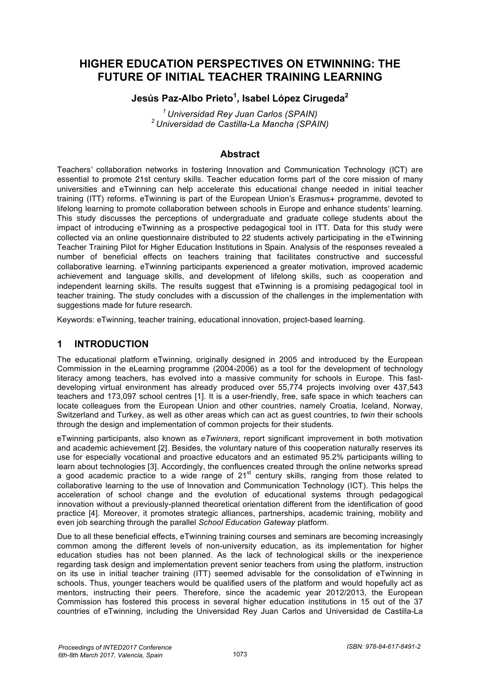# **HIGHER EDUCATION PERSPECTIVES ON ETWINNING: THE FUTURE OF INITIAL TEACHER TRAINING LEARNING**

### **Jesús Paz-Albo Prieto1 , Isabel López Cirugeda2**

*1 Universidad Rey Juan Carlos (SPAIN) 2 Universidad de Castilla-La Mancha (SPAIN)*

### **Abstract**

Teachers' collaboration networks in fostering Innovation and Communication Technology (ICT) are essential to promote 21st century skills. Teacher education forms part of the core mission of many universities and eTwinning can help accelerate this educational change needed in initial teacher training (ITT) reforms. eTwinning is part of the European Union's Erasmus+ programme, devoted to lifelong learning to promote collaboration between schools in Europe and enhance students' learning. This study discusses the perceptions of undergraduate and graduate college students about the impact of introducing eTwinning as a prospective pedagogical tool in ITT. Data for this study were collected via an online questionnaire distributed to 22 students actively participating in the eTwinning Teacher Training Pilot for Higher Education Institutions in Spain. Analysis of the responses revealed a number of beneficial effects on teachers training that facilitates constructive and successful collaborative learning. eTwinning participants experienced a greater motivation, improved academic achievement and language skills, and development of lifelong skills, such as cooperation and independent learning skills. The results suggest that eTwinning is a promising pedagogical tool in teacher training. The study concludes with a discussion of the challenges in the implementation with suggestions made for future research.

Keywords: eTwinning, teacher training, educational innovation, project-based learning.

# **1 INTRODUCTION**

The educational platform eTwinning, originally designed in 2005 and introduced by the European Commission in the eLearning programme (2004-2006) as a tool for the development of technology literacy among teachers, has evolved into a massive community for schools in Europe. This fastdeveloping virtual environment has already produced over 55,774 projects involving over 437,543 teachers and 173,097 school centres [1]. It is a user-friendly, free, safe space in which teachers can locate colleagues from the European Union and other countries, namely Croatia, Iceland, Norway, Switzerland and Turkey, as well as other areas which can act as guest countries, to *twin* their schools through the design and implementation of common projects for their students.

eTwinning participants, also known as *eTwinners*, report significant improvement in both motivation and academic achievement [2]. Besides, the voluntary nature of this cooperation naturally reserves its use for especially vocational and proactive educators and an estimated 95.2% participants willing to learn about technologies [3]. Accordingly, the confluences created through the online networks spread a good academic practice to a wide range of 21st century skills, ranging from those related to collaborative learning to the use of Innovation and Communication Technology (ICT). This helps the acceleration of school change and the evolution of educational systems through pedagogical innovation without a previously-planned theoretical orientation different from the identification of good practice [4]. Moreover, it promotes strategic alliances, partnerships, academic training, mobility and even job searching through the parallel *School Education Gateway* platform.

Due to all these beneficial effects, eTwinning training courses and seminars are becoming increasingly common among the different levels of non-university education, as its implementation for higher education studies has not been planned. As the lack of technological skills or the inexperience regarding task design and implementation prevent senior teachers from using the platform, instruction on its use in initial teacher training (ITT) seemed advisable for the consolidation of eTwinning in schools. Thus, younger teachers would be qualified users of the platform and would hopefully act as mentors, instructing their peers. Therefore, since the academic year 2012/2013, the European Commission has fostered this process in several higher education institutions in 15 out of the 37 countries of eTwinning, including the Universidad Rey Juan Carlos and Universidad de Castilla-La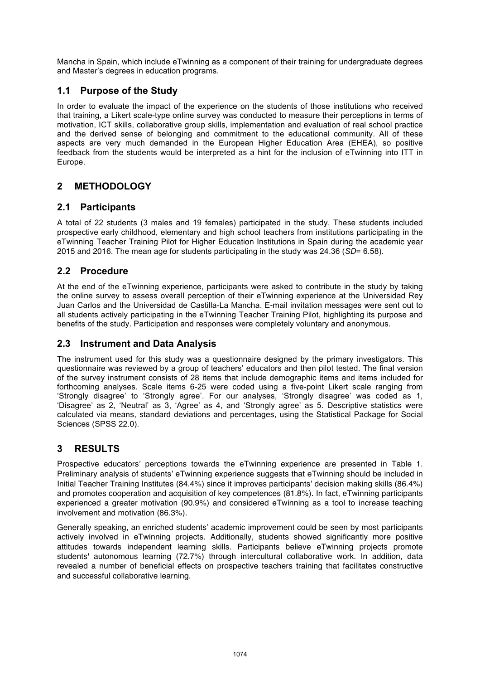Mancha in Spain, which include eTwinning as a component of their training for undergraduate degrees and Master's degrees in education programs.

# **1.1 Purpose of the Study**

In order to evaluate the impact of the experience on the students of those institutions who received that training, a Likert scale-type online survey was conducted to measure their perceptions in terms of motivation, ICT skills, collaborative group skills, implementation and evaluation of real school practice and the derived sense of belonging and commitment to the educational community. All of these aspects are very much demanded in the European Higher Education Area (EHEA), so positive feedback from the students would be interpreted as a hint for the inclusion of eTwinning into ITT in Europe.

### **2 METHODOLOGY**

#### **2.1 Participants**

A total of 22 students (3 males and 19 females) participated in the study. These students included prospective early childhood, elementary and high school teachers from institutions participating in the eTwinning Teacher Training Pilot for Higher Education Institutions in Spain during the academic year 2015 and 2016. The mean age for students participating in the study was 24.36 (*SD*= 6.58).

#### **2.2 Procedure**

At the end of the eTwinning experience, participants were asked to contribute in the study by taking the online survey to assess overall perception of their eTwinning experience at the Universidad Rey Juan Carlos and the Universidad de Castilla-La Mancha. E-mail invitation messages were sent out to all students actively participating in the eTwinning Teacher Training Pilot, highlighting its purpose and benefits of the study. Participation and responses were completely voluntary and anonymous.

#### **2.3 Instrument and Data Analysis**

The instrument used for this study was a questionnaire designed by the primary investigators. This questionnaire was reviewed by a group of teachers' educators and then pilot tested. The final version of the survey instrument consists of 28 items that include demographic items and items included for forthcoming analyses. Scale items 6-25 were coded using a five-point Likert scale ranging from 'Strongly disagree' to 'Strongly agree'. For our analyses, 'Strongly disagree' was coded as 1, 'Disagree' as 2, 'Neutral' as 3, 'Agree' as 4, and 'Strongly agree' as 5. Descriptive statistics were calculated via means, standard deviations and percentages, using the Statistical Package for Social Sciences (SPSS 22.0).

# **3 RESULTS**

Prospective educators' perceptions towards the eTwinning experience are presented in Table 1. Preliminary analysis of students' eTwinning experience suggests that eTwinning should be included in Initial Teacher Training Institutes (84.4%) since it improves participants' decision making skills (86.4%) and promotes cooperation and acquisition of key competences (81.8%). In fact, eTwinning participants experienced a greater motivation (90.9%) and considered eTwinning as a tool to increase teaching involvement and motivation (86.3%).

Generally speaking, an enriched students' academic improvement could be seen by most participants actively involved in eTwinning projects. Additionally, students showed significantly more positive attitudes towards independent learning skills. Participants believe eTwinning projects promote students' autonomous learning (72.7%) through intercultural collaborative work. In addition, data revealed a number of beneficial effects on prospective teachers training that facilitates constructive and successful collaborative learning.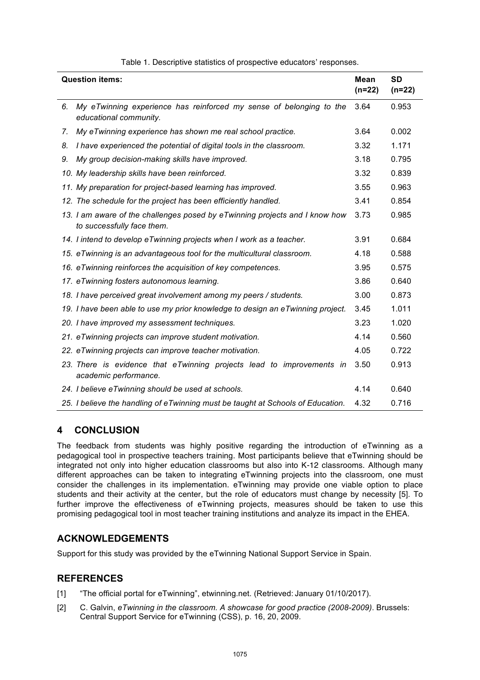| <b>Question items:</b> |                                                                                                           | <b>Mean</b><br>$(n=22)$ | <b>SD</b><br>(n=22) |
|------------------------|-----------------------------------------------------------------------------------------------------------|-------------------------|---------------------|
| 6.                     | My eTwinning experience has reinforced my sense of belonging to the<br>educational community.             | 3.64                    | 0.953               |
| 7.                     | My eTwinning experience has shown me real school practice.                                                | 3.64                    | 0.002               |
| 8.                     | I have experienced the potential of digital tools in the classroom.                                       | 3.32                    | 1.171               |
| 9.                     | My group decision-making skills have improved.                                                            | 3.18                    | 0.795               |
|                        | 10. My leadership skills have been reinforced.                                                            | 3.32                    | 0.839               |
|                        | 11. My preparation for project-based learning has improved.                                               | 3.55                    | 0.963               |
|                        | 12. The schedule for the project has been efficiently handled.                                            | 3.41                    | 0.854               |
|                        | 13. I am aware of the challenges posed by eTwinning projects and I know how<br>to successfully face them. | 3.73                    | 0.985               |
|                        | 14. I intend to develop eTwinning projects when I work as a teacher.                                      | 3.91                    | 0.684               |
|                        | 15. eTwinning is an advantageous tool for the multicultural classroom.                                    | 4.18                    | 0.588               |
|                        | 16. eTwinning reinforces the acquisition of key competences.                                              | 3.95                    | 0.575               |
|                        | 17. eTwinning fosters autonomous learning.                                                                | 3.86                    | 0.640               |
|                        | 18. I have perceived great involvement among my peers / students.                                         | 3.00                    | 0.873               |
|                        | 19. I have been able to use my prior knowledge to design an eTwinning project.                            | 3.45                    | 1.011               |
|                        | 20. I have improved my assessment techniques.                                                             | 3.23                    | 1.020               |
|                        | 21. eTwinning projects can improve student motivation.                                                    | 4.14                    | 0.560               |
|                        | 22. eTwinning projects can improve teacher motivation.                                                    | 4.05                    | 0.722               |
|                        | 23. There is evidence that eTwinning projects lead to improvements in<br>academic performance.            | 3.50                    | 0.913               |
|                        | 24. I believe eTwinning should be used at schools.                                                        | 4.14                    | 0.640               |
|                        | 25. I believe the handling of eTwinning must be taught at Schools of Education.                           | 4.32                    | 0.716               |

#### Table 1. Descriptive statistics of prospective educators' responses.

# **4 CONCLUSION**

The feedback from students was highly positive regarding the introduction of eTwinning as a pedagogical tool in prospective teachers training. Most participants believe that eTwinning should be integrated not only into higher education classrooms but also into K-12 classrooms. Although many different approaches can be taken to integrating eTwinning projects into the classroom, one must consider the challenges in its implementation. eTwinning may provide one viable option to place students and their activity at the center, but the role of educators must change by necessity [5]. To further improve the effectiveness of eTwinning projects, measures should be taken to use this promising pedagogical tool in most teacher training institutions and analyze its impact in the EHEA.

#### **ACKNOWLEDGEMENTS**

Support for this study was provided by the eTwinning National Support Service in Spain.

#### **REFERENCES**

- [1] "The official portal for eTwinning", etwinning.net. (Retrieved: January 01/10/2017).
- [2] C. Galvin, *eTwinning in the classroom. A showcase for good practice (2008-2009)*. Brussels: Central Support Service for eTwinning (CSS), p. 16, 20, 2009.